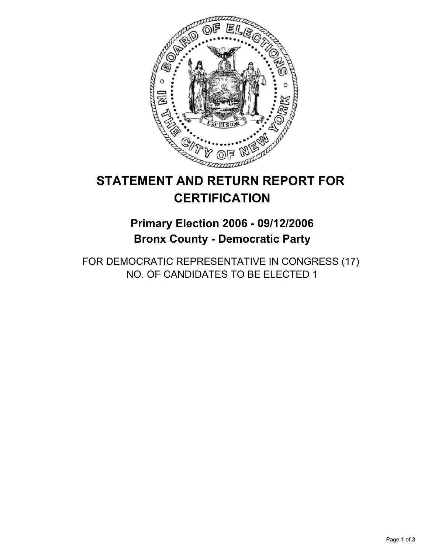

# **STATEMENT AND RETURN REPORT FOR CERTIFICATION**

## **Primary Election 2006 - 09/12/2006 Bronx County - Democratic Party**

FOR DEMOCRATIC REPRESENTATIVE IN CONGRESS (17) NO. OF CANDIDATES TO BE ELECTED 1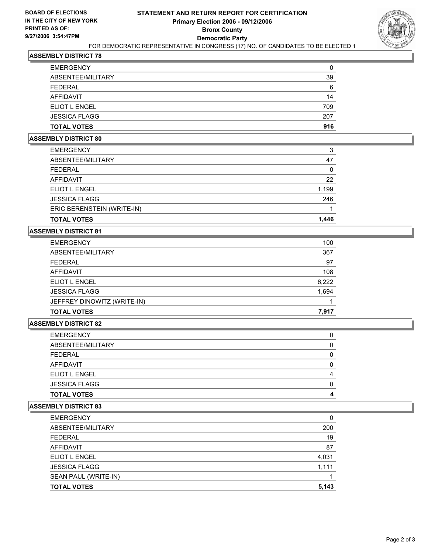

## **ASSEMBLY DISTRICT 78**

| <b>TOTAL VOTES</b>   | 916 |
|----------------------|-----|
| <b>JESSICA FLAGG</b> | 207 |
| <b>ELIOT L ENGEL</b> | 709 |
| <b>AFFIDAVIT</b>     | 14  |
| <b>FEDERAL</b>       | 6   |
| ABSENTEE/MILITARY    | 39  |
| <b>EMERGENCY</b>     | 0   |

#### **ASSEMBLY DISTRICT 80**

| <b>TOTAL VOTES</b>         | 1,446 |
|----------------------------|-------|
| ERIC BERENSTEIN (WRITE-IN) |       |
| <b>JESSICA FLAGG</b>       | 246   |
| ELIOT L ENGEL              | 1,199 |
| AFFIDAVIT                  | 22    |
| FEDERAL                    |       |
| ABSENTEE/MILITARY          | 47    |
| <b>EMERGENCY</b>           | 3     |

## **ASSEMBLY DISTRICT 81**

| <b>EMERGENCY</b>            | 100   |
|-----------------------------|-------|
| ABSENTEE/MILITARY           | 367   |
| <b>FEDERAL</b>              | 97    |
| AFFIDAVIT                   | 108   |
| ELIOT L ENGEL               | 6,222 |
| <b>JESSICA FLAGG</b>        | 1,694 |
| JEFFREY DINOWITZ (WRITE-IN) |       |
| <b>TOTAL VOTES</b>          | 7,917 |

#### **ASSEMBLY DISTRICT 82**

| <b>EMERGENCY</b>     |  |
|----------------------|--|
| ABSENTEE/MILITARY    |  |
| <b>FEDERAL</b>       |  |
| <b>AFFIDAVIT</b>     |  |
| <b>ELIOT L ENGEL</b> |  |
| <b>JESSICA FLAGG</b> |  |
| <b>TOTAL VOTES</b>   |  |

#### **ASSEMBLY DISTRICT 83**

| <b>EMERGENCY</b>     |       |
|----------------------|-------|
| ABSENTEE/MILITARY    | 200   |
| <b>FEDERAL</b>       | 19    |
| AFFIDAVIT            | 87    |
| <b>ELIOT L ENGEL</b> | 4,031 |
| <b>JESSICA FLAGG</b> | 1,111 |
| SEAN PAUL (WRITE-IN) |       |
| <b>TOTAL VOTES</b>   | 5,143 |
|                      |       |